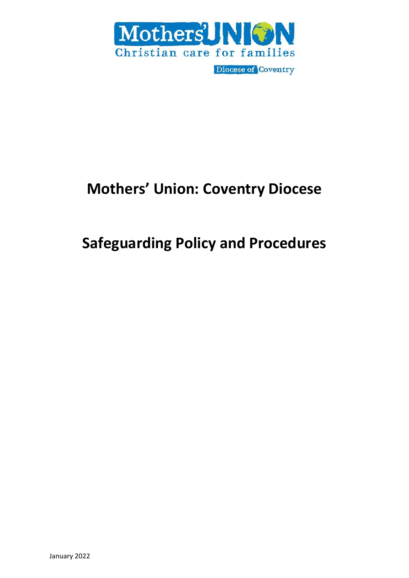

# **Mothers' Union: Coventry Diocese**

# **Safeguarding Policy and Procedures**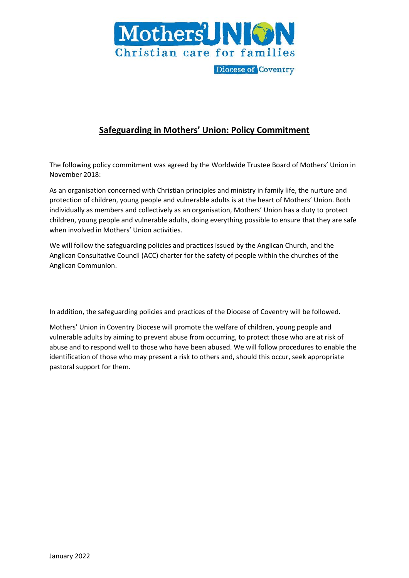

# **Safeguarding in Mothers' Union: Policy Commitment**

The following policy commitment was agreed by the Worldwide Trustee Board of Mothers' Union in November 2018:

As an organisation concerned with Christian principles and ministry in family life, the nurture and protection of children, young people and vulnerable adults is at the heart of Mothers' Union. Both individually as members and collectively as an organisation, Mothers' Union has a duty to protect children, young people and vulnerable adults, doing everything possible to ensure that they are safe when involved in Mothers' Union activities.

We will follow the safeguarding policies and practices issued by the Anglican Church, and the Anglican Consultative Council (ACC) charter for the safety of people within the churches of the Anglican Communion.

In addition, the safeguarding policies and practices of the Diocese of Coventry will be followed.

Mothers' Union in Coventry Diocese will promote the welfare of children, young people and vulnerable adults by aiming to prevent abuse from occurring, to protect those who are at risk of abuse and to respond well to those who have been abused. We will follow procedures to enable the identification of those who may present a risk to others and, should this occur, seek appropriate pastoral support for them.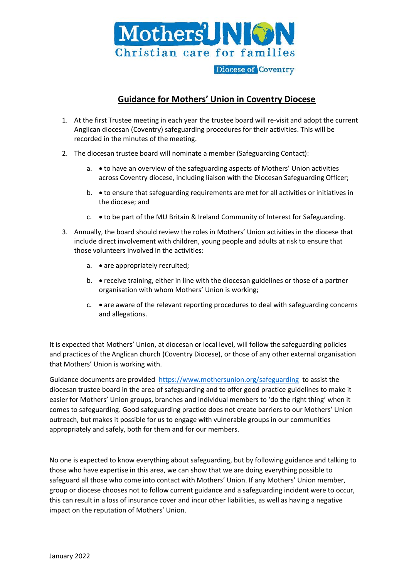

# **Guidance for Mothers' Union in Coventry Diocese**

- 1. At the first Trustee meeting in each year the trustee board will re-visit and adopt the current Anglican diocesan (Coventry) safeguarding procedures for their activities. This will be recorded in the minutes of the meeting.
- 2. The diocesan trustee board will nominate a member (Safeguarding Contact):
	- a. to have an overview of the safeguarding aspects of Mothers' Union activities across Coventry diocese, including liaison with the Diocesan Safeguarding Officer;
	- b. to ensure that safeguarding requirements are met for all activities or initiatives in the diocese; and
	- c. to be part of the MU Britain & Ireland Community of Interest for Safeguarding.
- 3. Annually, the board should review the roles in Mothers' Union activities in the diocese that include direct involvement with children, young people and adults at risk to ensure that those volunteers involved in the activities:
	- a. are appropriately recruited;
	- b. receive training, either in line with the diocesan guidelines or those of a partner organisation with whom Mothers' Union is working;
	- $c.$  are aware of the relevant reporting procedures to deal with safeguarding concerns and allegations.

It is expected that Mothers' Union, at diocesan or local level, will follow the safeguarding policies and practices of the Anglican church (Coventry Diocese), or those of any other external organisation that Mothers' Union is working with.

Guidance documents are provided <https://www.mothersunion.org/safeguarding>to assist the diocesan trustee board in the area of safeguarding and to offer good practice guidelines to make it easier for Mothers' Union groups, branches and individual members to 'do the right thing' when it comes to safeguarding. Good safeguarding practice does not create barriers to our Mothers' Union outreach, but makes it possible for us to engage with vulnerable groups in our communities appropriately and safely, both for them and for our members.

No one is expected to know everything about safeguarding, but by following guidance and talking to those who have expertise in this area, we can show that we are doing everything possible to safeguard all those who come into contact with Mothers' Union. If any Mothers' Union member, group or diocese chooses not to follow current guidance and a safeguarding incident were to occur, this can result in a loss of insurance cover and incur other liabilities, as well as having a negative impact on the reputation of Mothers' Union.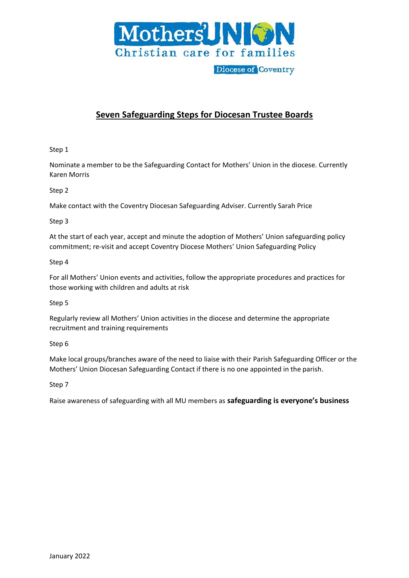

# **Seven Safeguarding Steps for Diocesan Trustee Boards**

## Step 1

Nominate a member to be the Safeguarding Contact for Mothers' Union in the diocese. Currently Karen Morris

Step 2

Make contact with the Coventry Diocesan Safeguarding Adviser. Currently Sarah Price

## Step 3

At the start of each year, accept and minute the adoption of Mothers' Union safeguarding policy commitment; re-visit and accept Coventry Diocese Mothers' Union Safeguarding Policy

## Step 4

For all Mothers' Union events and activities, follow the appropriate procedures and practices for those working with children and adults at risk

## Step 5

Regularly review all Mothers' Union activities in the diocese and determine the appropriate recruitment and training requirements

## Step 6

Make local groups/branches aware of the need to liaise with their Parish Safeguarding Officer or the Mothers' Union Diocesan Safeguarding Contact if there is no one appointed in the parish.

Step 7

Raise awareness of safeguarding with all MU members as **safeguarding is everyone's business**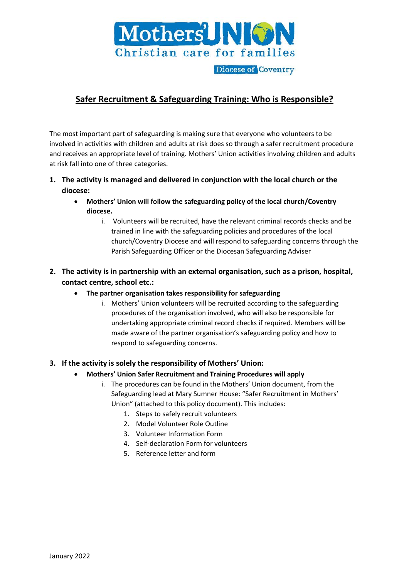

# **Safer Recruitment & Safeguarding Training: Who is Responsible?**

The most important part of safeguarding is making sure that everyone who volunteers to be involved in activities with children and adults at risk does so through a safer recruitment procedure and receives an appropriate level of training. Mothers' Union activities involving children and adults at risk fall into one of three categories.

- **1. The activity is managed and delivered in conjunction with the local church or the diocese:**
	- **Mothers' Union will follow the safeguarding policy of the local church/Coventry diocese.**
		- i. Volunteers will be recruited, have the relevant criminal records checks and be trained in line with the safeguarding policies and procedures of the local church/Coventry Diocese and will respond to safeguarding concerns through the Parish Safeguarding Officer or the Diocesan Safeguarding Adviser
- **2. The activity is in partnership with an external organisation, such as a prison, hospital, contact centre, school etc.:**
	- **The partner organisation takes responsibility for safeguarding** 
		- i. Mothers' Union volunteers will be recruited according to the safeguarding procedures of the organisation involved, who will also be responsible for undertaking appropriate criminal record checks if required. Members will be made aware of the partner organisation's safeguarding policy and how to respond to safeguarding concerns.

## **3. If the activity is solely the responsibility of Mothers' Union:**

- **Mothers' Union Safer Recruitment and Training Procedures will apply** 
	- i. The procedures can be found in the Mothers' Union document, from the Safeguarding lead at Mary Sumner House: "Safer Recruitment in Mothers' Union" (attached to this policy document). This includes:
		- 1. Steps to safely recruit volunteers
		- 2. Model Volunteer Role Outline
		- 3. Volunteer Information Form
		- 4. Self-declaration Form for volunteers
		- 5. Reference letter and form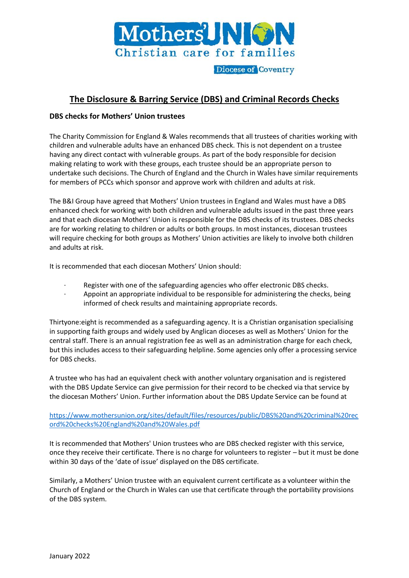

## **The Disclosure & Barring Service (DBS) and Criminal Records Checks**

## **DBS checks for Mothers' Union trustees**

The Charity Commission for England & Wales recommends that all trustees of charities working with children and vulnerable adults have an enhanced DBS check. This is not dependent on a trustee having any direct contact with vulnerable groups. As part of the body responsible for decision making relating to work with these groups, each trustee should be an appropriate person to undertake such decisions. The Church of England and the Church in Wales have similar requirements for members of PCCs which sponsor and approve work with children and adults at risk.

The B&I Group have agreed that Mothers' Union trustees in England and Wales must have a DBS enhanced check for working with both children and vulnerable adults issued in the past three years and that each diocesan Mothers' Union is responsible for the DBS checks of its trustees. DBS checks are for working relating to children or adults or both groups. In most instances, diocesan trustees will require checking for both groups as Mothers' Union activities are likely to involve both children and adults at risk.

It is recommended that each diocesan Mothers' Union should:

- Register with one of the safeguarding agencies who offer electronic DBS checks.
- · Appoint an appropriate individual to be responsible for administering the checks, being informed of check results and maintaining appropriate records.

Thirtyone:eight is recommended as a safeguarding agency. It is a Christian organisation specialising in supporting faith groups and widely used by Anglican dioceses as well as Mothers' Union for the central staff. There is an annual registration fee as well as an administration charge for each check, but this includes access to their safeguarding helpline. Some agencies only offer a processing service for DBS checks.

A trustee who has had an equivalent check with another voluntary organisation and is registered with the DBS Update Service can give permission for their record to be checked via that service by the diocesan Mothers' Union. Further information about the DBS Update Service can be found at

[https://www.mothersunion.org/sites/default/files/resources/public/DBS%20and%20criminal%20rec](https://www.mothersunion.org/sites/default/files/resources/public/DBS%20and%20criminal%20record%20checks%20England%20and%20Wales.pdf) [ord%20checks%20England%20and%20Wales.pdf](https://www.mothersunion.org/sites/default/files/resources/public/DBS%20and%20criminal%20record%20checks%20England%20and%20Wales.pdf)

It is recommended that Mothers' Union trustees who are DBS checked register with this service, once they receive their certificate. There is no charge for volunteers to register – but it must be done within 30 days of the 'date of issue' displayed on the DBS certificate.

Similarly, a Mothers' Union trustee with an equivalent current certificate as a volunteer within the Church of England or the Church in Wales can use that certificate through the portability provisions of the DBS system.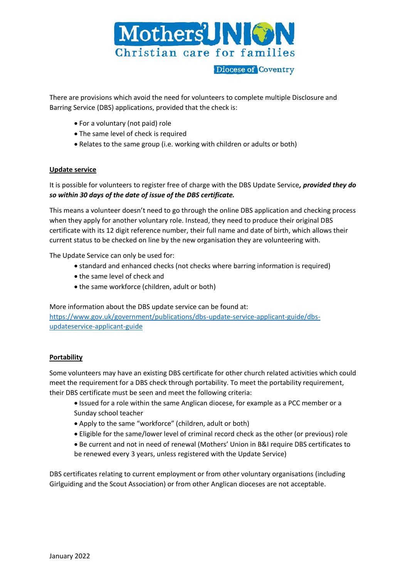

There are provisions which avoid the need for volunteers to complete multiple Disclosure and Barring Service (DBS) applications, provided that the check is:

- For a voluntary (not paid) role
- The same level of check is required
- Relates to the same group (i.e. working with children or adults or both)

#### **Update service**

It is possible for volunteers to register free of charge with the DBS Update Service*, provided they do so within 30 days of the date of issue of the DBS certificate.* 

This means a volunteer doesn't need to go through the online DBS application and checking process when they apply for another voluntary role. Instead, they need to produce their original DBS certificate with its 12 digit reference number, their full name and date of birth, which allows their current status to be checked on line by the new organisation they are volunteering with.

The Update Service can only be used for:

- standard and enhanced checks (not checks where barring information is required)
- the same level of check and
- the same workforce (children, adult or both)

More information about the DBS update service can be found at:

[https://www.gov.uk/government/publications/dbs-update-service-applicant-guide/dbs](https://www.gov.uk/government/publications/dbs-update-service-applicant-guide/dbs-updateservice-applicant-guide)[updateservice-applicant-guide](https://www.gov.uk/government/publications/dbs-update-service-applicant-guide/dbs-updateservice-applicant-guide)

#### **Portability**

Some volunteers may have an existing DBS certificate for other church related activities which could meet the requirement for a DBS check through portability. To meet the portability requirement, their DBS certificate must be seen and meet the following criteria:

- Issued for a role within the same Anglican diocese, for example as a PCC member or a Sunday school teacher
- Apply to the same "workforce" (children, adult or both)
- Eligible for the same/lower level of criminal record check as the other (or previous) role
- Be current and not in need of renewal (Mothers' Union in B&I require DBS certificates to be renewed every 3 years, unless registered with the Update Service)

DBS certificates relating to current employment or from other voluntary organisations (including Girlguiding and the Scout Association) or from other Anglican dioceses are not acceptable.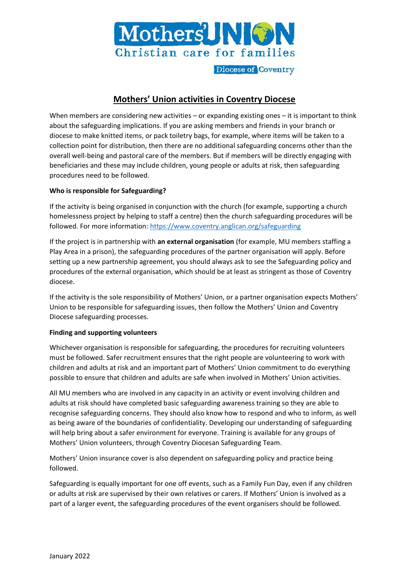

# **Mothers' Union activities in Coventry Diocese**

When members are considering new activities - or expanding existing ones - it is important to think about the safeguarding implications. If you are asking members and friends in your branch or diocese to make knitted items, or pack toiletry bags, for example, where items will be taken to a collection point for distribution, then there are no additional safeguarding concerns other than the overall well-being and pastoral care of the members. But if members will be directly engaging with beneficiaries and these may include children, young people or adults at risk, then safeguarding procedures need to be followed.

## **Who is responsible for Safeguarding?**

If the activity is being organised in conjunction with the church (for example, supporting a church homelessness project by helping to staff a centre) then the church safeguarding procedures will be followed. For more information:<https://www.coventry.anglican.org/safeguarding>

If the project is in partnership with **an external organisation** (for example, MU members staffing a Play Area in a prison), the safeguarding procedures of the partner organisation will apply. Before setting up a new partnership agreement, you should always ask to see the Safeguarding policy and procedures of the external organisation, which should be at least as stringent as those of Coventry diocese.

If the activity is the sole responsibility of Mothers' Union, or a partner organisation expects Mothers' Union to be responsible for safeguarding issues, then follow the Mothers' Union and Coventry Diocese safeguarding processes.

#### **Finding and supporting volunteers**

Whichever organisation is responsible for safeguarding, the procedures for recruiting volunteers must be followed. Safer recruitment ensures that the right people are volunteering to work with children and adults at risk and an important part of Mothers' Union commitment to do everything possible to ensure that children and adults are safe when involved in Mothers' Union activities.

All MU members who are involved in any capacity in an activity or event involving children and adults at risk should have completed basic safeguarding awareness training so they are able to recognise safeguarding concerns. They should also know how to respond and who to inform, as well as being aware of the boundaries of confidentiality. Developing our understanding of safeguarding will help bring about a safer environment for everyone. Training is available for any groups of Mothers' Union volunteers, through Coventry Diocesan Safeguarding Team.

Mothers' Union insurance cover is also dependent on safeguarding policy and practice being followed.

Safeguarding is equally important for one off events, such as a Family Fun Day, even if any children or adults at risk are supervised by their own relatives or carers. If Mothers' Union is involved as a part of a larger event, the safeguarding procedures of the event organisers should be followed.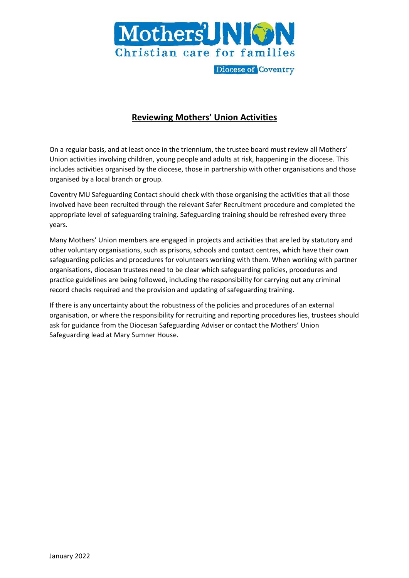

## **Reviewing Mothers' Union Activities**

On a regular basis, and at least once in the triennium, the trustee board must review all Mothers' Union activities involving children, young people and adults at risk, happening in the diocese. This includes activities organised by the diocese, those in partnership with other organisations and those organised by a local branch or group.

Coventry MU Safeguarding Contact should check with those organising the activities that all those involved have been recruited through the relevant Safer Recruitment procedure and completed the appropriate level of safeguarding training. Safeguarding training should be refreshed every three years.

Many Mothers' Union members are engaged in projects and activities that are led by statutory and other voluntary organisations, such as prisons, schools and contact centres, which have their own safeguarding policies and procedures for volunteers working with them. When working with partner organisations, diocesan trustees need to be clear which safeguarding policies, procedures and practice guidelines are being followed, including the responsibility for carrying out any criminal record checks required and the provision and updating of safeguarding training.

If there is any uncertainty about the robustness of the policies and procedures of an external organisation, or where the responsibility for recruiting and reporting procedures lies, trustees should ask for guidance from the Diocesan Safeguarding Adviser or contact the Mothers' Union Safeguarding lead at Mary Sumner House.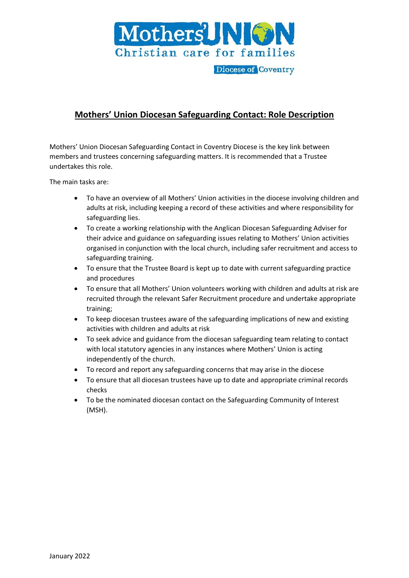

## **Mothers' Union Diocesan Safeguarding Contact: Role Description**

Mothers' Union Diocesan Safeguarding Contact in Coventry Diocese is the key link between members and trustees concerning safeguarding matters. It is recommended that a Trustee undertakes this role.

The main tasks are:

- To have an overview of all Mothers' Union activities in the diocese involving children and adults at risk, including keeping a record of these activities and where responsibility for safeguarding lies.
- To create a working relationship with the Anglican Diocesan Safeguarding Adviser for their advice and guidance on safeguarding issues relating to Mothers' Union activities organised in conjunction with the local church, including safer recruitment and access to safeguarding training.
- To ensure that the Trustee Board is kept up to date with current safeguarding practice and procedures
- To ensure that all Mothers' Union volunteers working with children and adults at risk are recruited through the relevant Safer Recruitment procedure and undertake appropriate training;
- To keep diocesan trustees aware of the safeguarding implications of new and existing activities with children and adults at risk
- To seek advice and guidance from the diocesan safeguarding team relating to contact with local statutory agencies in any instances where Mothers' Union is acting independently of the church.
- To record and report any safeguarding concerns that may arise in the diocese
- To ensure that all diocesan trustees have up to date and appropriate criminal records checks
- To be the nominated diocesan contact on the Safeguarding Community of Interest (MSH).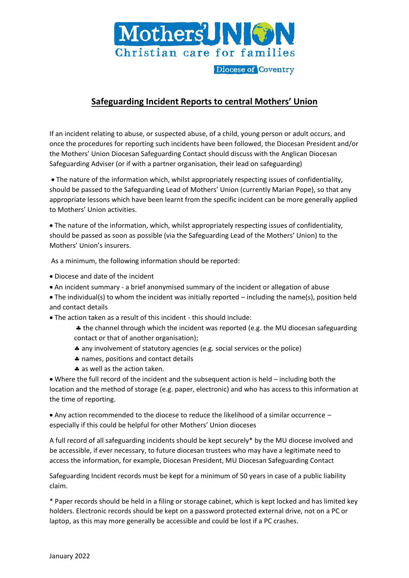

# **Safeguarding Incident Reports to central Mothers' Union**

If an incident relating to abuse, or suspected abuse, of a child, young person or adult occurs, and once the procedures for reporting such incidents have been followed, the Diocesan President and/or the Mothers' Union Diocesan Safeguarding Contact should discuss with the Anglican Diocesan Safeguarding Adviser (or if with a partner organisation, their lead on safeguarding)

• The nature of the information which, whilst appropriately respecting issues of confidentiality, should be passed to the Safeguarding Lead of Mothers' Union (currently Marian Pope), so that any appropriate lessons which have been learnt from the specific incident can be more generally applied to Mothers' Union activities.

• The nature of the information, which, whilst appropriately respecting issues of confidentiality, should be passed as soon as possible (via the Safeguarding Lead of the Mothers' Union) to the Mothers' Union's insurers.

As a minimum, the following information should be reported:

- Diocese and date of the incident
- An incident summary a brief anonymised summary of the incident or allegation of abuse
- The individual(s) to whom the incident was initially reported including the name(s), position held and contact details

• The action taken as a result of this incident - this should include:

 the channel through which the incident was reported (e.g. the MU diocesan safeguarding contact or that of another organisation);

- any involvement of statutory agencies (e.g. social services or the police)
- \* names, positions and contact details
- \* as well as the action taken.

• Where the full record of the incident and the subsequent action is held – including both the location and the method of storage (e.g. paper, electronic) and who has access to this information at the time of reporting.

• Any action recommended to the diocese to reduce the likelihood of a similar occurrence – especially if this could be helpful for other Mothers' Union dioceses

A full record of all safeguarding incidents should be kept securely\* by the MU diocese involved and be accessible, if ever necessary, to future diocesan trustees who may have a legitimate need to access the information, for example, Diocesan President, MU Diocesan Safeguarding Contact

Safeguarding Incident records must be kept for a minimum of 50 years in case of a public liability claim.

\* Paper records should be held in a filing or storage cabinet, which is kept locked and has limited key holders. Electronic records should be kept on a password protected external drive, not on a PC or laptop, as this may more generally be accessible and could be lost if a PC crashes.